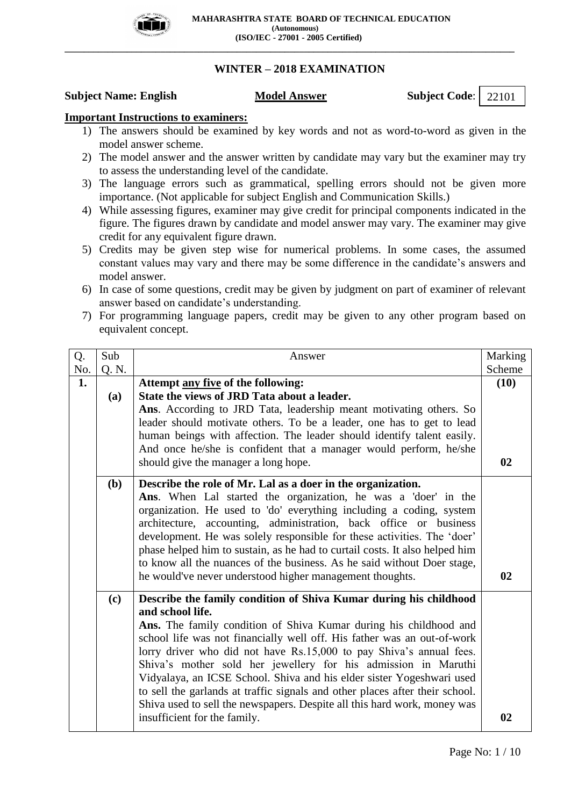

### **WINTER – 2018 EXAMINATION**

### **Subject Name: English Model Answer Subject Code:**

**\_\_\_\_\_\_\_\_\_\_\_\_\_\_\_\_\_\_\_\_\_\_\_\_\_\_\_\_\_\_\_\_\_\_\_\_\_\_\_\_\_\_\_\_\_\_\_\_\_\_\_\_\_\_\_\_\_\_\_\_\_\_\_\_\_\_\_\_\_\_\_\_\_\_\_\_\_\_\_\_\_\_\_\_\_\_\_\_\_\_\_\_\_\_**

22101

### **Important Instructions to examiners:**

- 1) The answers should be examined by key words and not as word-to-word as given in the model answer scheme.
- 2) The model answer and the answer written by candidate may vary but the examiner may try to assess the understanding level of the candidate.
- 3) The language errors such as grammatical, spelling errors should not be given more importance. (Not applicable for subject English and Communication Skills.)
- 4) While assessing figures, examiner may give credit for principal components indicated in the figure. The figures drawn by candidate and model answer may vary. The examiner may give credit for any equivalent figure drawn.
- 5) Credits may be given step wise for numerical problems. In some cases, the assumed constant values may vary and there may be some difference in the candidate's answers and model answer.
- 6) In case of some questions, credit may be given by judgment on part of examiner of relevant answer based on candidate's understanding.
- 7) For programming language papers, credit may be given to any other program based on equivalent concept.

| Q.  | Sub                                                                      | Answer                                                                       | Marking |  |
|-----|--------------------------------------------------------------------------|------------------------------------------------------------------------------|---------|--|
| No. | Q. N.                                                                    |                                                                              | Scheme  |  |
| 1.  |                                                                          | Attempt any five of the following:                                           | (10)    |  |
|     | (a)                                                                      | State the views of JRD Tata about a leader.                                  |         |  |
|     |                                                                          | Ans. According to JRD Tata, leadership meant motivating others. So           |         |  |
|     |                                                                          | leader should motivate others. To be a leader, one has to get to lead        |         |  |
|     |                                                                          | human beings with affection. The leader should identify talent easily.       |         |  |
|     |                                                                          | And once he/she is confident that a manager would perform, he/she            |         |  |
|     |                                                                          | should give the manager a long hope.                                         | 02      |  |
|     | (b)                                                                      | Describe the role of Mr. Lal as a doer in the organization.                  |         |  |
|     |                                                                          | Ans. When Lal started the organization, he was a 'doer' in the               |         |  |
|     |                                                                          | organization. He used to 'do' everything including a coding, system          |         |  |
|     |                                                                          | architecture, accounting, administration, back office or business            |         |  |
|     |                                                                          | development. He was solely responsible for these activities. The 'doer'      |         |  |
|     |                                                                          | phase helped him to sustain, as he had to curtail costs. It also helped him  |         |  |
|     |                                                                          | to know all the nuances of the business. As he said without Doer stage,      |         |  |
|     |                                                                          | he would've never understood higher management thoughts.                     | 02      |  |
|     | Describe the family condition of Shiva Kumar during his childhood<br>(c) |                                                                              |         |  |
|     |                                                                          | and school life.                                                             |         |  |
|     |                                                                          | Ans. The family condition of Shiva Kumar during his childhood and            |         |  |
|     |                                                                          | school life was not financially well off. His father was an out-of-work      |         |  |
|     |                                                                          | lorry driver who did not have Rs.15,000 to pay Shiva's annual fees.          |         |  |
|     |                                                                          | Shiva's mother sold her jewellery for his admission in Maruthi               |         |  |
|     |                                                                          | Vidyalaya, an ICSE School. Shiva and his elder sister Yogeshwari used        |         |  |
|     |                                                                          | to sell the garlands at traffic signals and other places after their school. |         |  |
|     |                                                                          | Shiva used to sell the newspapers. Despite all this hard work, money was     |         |  |
|     |                                                                          | insufficient for the family.                                                 | 02      |  |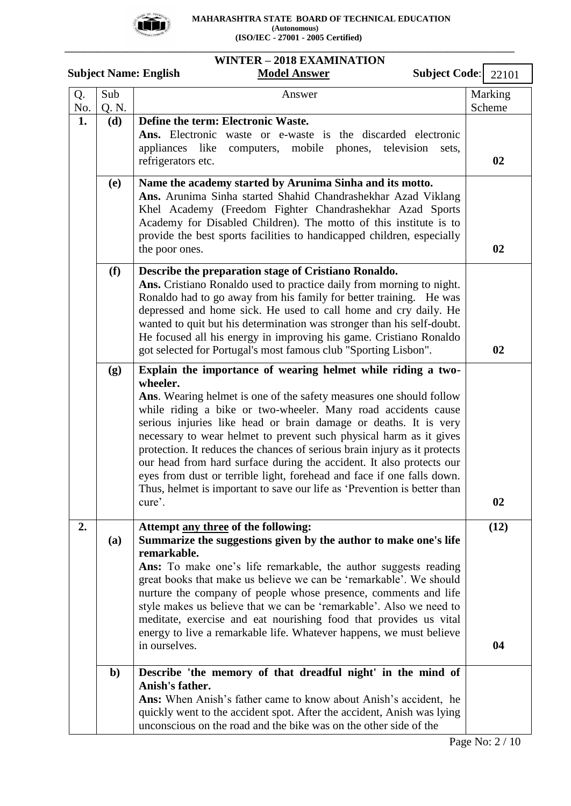

 **MAHARASHTRA STATE BOARD OF TECHNICAL EDUCATION (Autonomous) (ISO/IEC - 27001 - 2005 Certified)**

**\_\_\_\_\_\_\_\_\_\_\_\_\_\_\_\_\_\_\_\_\_\_\_\_\_\_\_\_\_\_\_\_\_\_\_\_\_\_\_\_\_\_\_\_\_\_\_\_\_\_\_\_\_\_\_\_\_\_\_\_\_\_\_\_\_\_\_\_\_\_\_\_\_\_\_\_\_\_\_\_\_\_\_\_\_\_\_\_\_\_\_\_\_\_**

 **WINTER – 2018 EXAMINATION Subject Name: English Model Answer Subject Code:** Q. No. Sub Q. N. Answer Marking Scheme **1. (d) Define the term: Electronic Waste. Ans.** Electronic waste or e-waste is the discarded electronic appliances like computers, mobile phones, television sets, refrigerators etc. **02 (e) Name the academy started by Arunima Sinha and its motto. Ans.** Arunima Sinha started Shahid Chandrashekhar Azad Viklang Khel Academy (Freedom Fighter Chandrashekhar Azad Sports Academy for Disabled Children). The motto of this institute is to provide the best sports facilities to handicapped children, especially the poor ones. **02 (f) Describe the preparation stage of Cristiano Ronaldo. Ans.** Cristiano Ronaldo used to practice daily from morning to night. Ronaldo had to go away from his family for better training. He was depressed and home sick. He used to call home and cry daily. He wanted to quit but his determination was stronger than his self-doubt. He focused all his energy in improving his game. Cristiano Ronaldo got selected for Portugal's most famous club "Sporting Lisbon". **02 (g) Explain the importance of wearing helmet while riding a twowheeler. Ans**. Wearing helmet is one of the safety measures one should follow while riding a bike or two-wheeler. Many road accidents cause serious injuries like head or brain damage or deaths. It is very necessary to wear helmet to prevent such physical harm as it gives protection. It reduces the chances of serious brain injury as it protects our head from hard surface during the accident. It also protects our eyes from dust or terrible light, forehead and face if one falls down. Thus, helmet is important to save our life as 'Prevention is better than cure'. **02 2. (a) Attempt any three of the following: Summarize the suggestions given by the author to make one's life remarkable. Ans:** To make one's life remarkable, the author suggests reading great books that make us believe we can be 'remarkable'. We should nurture the company of people whose presence, comments and life style makes us believe that we can be 'remarkable'. Also we need to meditate, exercise and eat nourishing food that provides us vital energy to live a remarkable life. Whatever happens, we must believe in ourselves. **(12) 04 b) Describe 'the memory of that dreadful night' in the mind of Anish's father. Ans:** When Anish's father came to know about Anish's accident, he quickly went to the accident spot. After the accident, Anish was lying unconscious on the road and the bike was on the other side of the 22101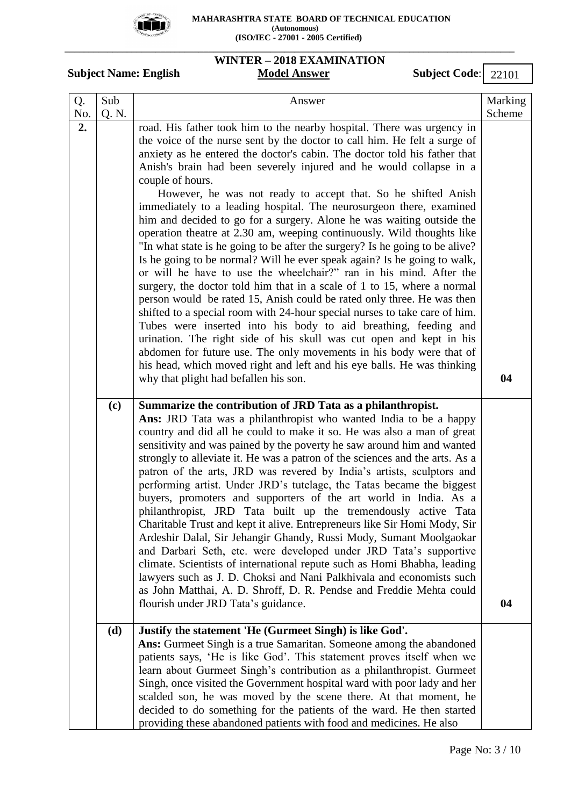

 **MAHARASHTRA STATE BOARD OF TECHNICAL EDUCATION (Autonomous) (ISO/IEC - 27001 - 2005 Certified)**

**\_\_\_\_\_\_\_\_\_\_\_\_\_\_\_\_\_\_\_\_\_\_\_\_\_\_\_\_\_\_\_\_\_\_\_\_\_\_\_\_\_\_\_\_\_\_\_\_\_\_\_\_\_\_\_\_\_\_\_\_\_\_\_\_\_\_\_\_\_\_\_\_\_\_\_\_\_\_\_\_\_\_\_\_\_\_\_\_\_\_\_\_\_\_ WINTER – 2018 EXAMINATION**

Subject Name: English Model Answer Subject Code: 22101

| Q.  | Sub   | Answer                                                                                                                                                                                                                                                                                                                                                                                                                                                                                                                                                                                                                                                                                                                                                                                                                                                                                                                                                                                                                                                                                                                                                                                                                                                                                                                                                                                 | Marking |  |  |
|-----|-------|----------------------------------------------------------------------------------------------------------------------------------------------------------------------------------------------------------------------------------------------------------------------------------------------------------------------------------------------------------------------------------------------------------------------------------------------------------------------------------------------------------------------------------------------------------------------------------------------------------------------------------------------------------------------------------------------------------------------------------------------------------------------------------------------------------------------------------------------------------------------------------------------------------------------------------------------------------------------------------------------------------------------------------------------------------------------------------------------------------------------------------------------------------------------------------------------------------------------------------------------------------------------------------------------------------------------------------------------------------------------------------------|---------|--|--|
| No. | Q. N. |                                                                                                                                                                                                                                                                                                                                                                                                                                                                                                                                                                                                                                                                                                                                                                                                                                                                                                                                                                                                                                                                                                                                                                                                                                                                                                                                                                                        | Scheme  |  |  |
| 2.  |       | road. His father took him to the nearby hospital. There was urgency in<br>the voice of the nurse sent by the doctor to call him. He felt a surge of<br>anxiety as he entered the doctor's cabin. The doctor told his father that<br>Anish's brain had been severely injured and he would collapse in a<br>couple of hours.<br>However, he was not ready to accept that. So he shifted Anish<br>immediately to a leading hospital. The neurosurgeon there, examined<br>him and decided to go for a surgery. Alone he was waiting outside the<br>operation theatre at 2.30 am, weeping continuously. Wild thoughts like<br>"In what state is he going to be after the surgery? Is he going to be alive?<br>Is he going to be normal? Will he ever speak again? Is he going to walk,<br>or will he have to use the wheelchair?" ran in his mind. After the<br>surgery, the doctor told him that in a scale of 1 to 15, where a normal<br>person would be rated 15, Anish could be rated only three. He was then<br>shifted to a special room with 24-hour special nurses to take care of him.<br>Tubes were inserted into his body to aid breathing, feeding and<br>urination. The right side of his skull was cut open and kept in his<br>abdomen for future use. The only movements in his body were that of<br>his head, which moved right and left and his eye balls. He was thinking |         |  |  |
|     |       | why that plight had befallen his son.                                                                                                                                                                                                                                                                                                                                                                                                                                                                                                                                                                                                                                                                                                                                                                                                                                                                                                                                                                                                                                                                                                                                                                                                                                                                                                                                                  |         |  |  |
|     | (c)   | Summarize the contribution of JRD Tata as a philanthropist.<br>Ans: JRD Tata was a philanthropist who wanted India to be a happy<br>country and did all he could to make it so. He was also a man of great<br>sensitivity and was pained by the poverty he saw around him and wanted<br>strongly to alleviate it. He was a patron of the sciences and the arts. As a<br>patron of the arts, JRD was revered by India's artists, sculptors and<br>performing artist. Under JRD's tutelage, the Tatas became the biggest<br>buyers, promoters and supporters of the art world in India. As a<br>philanthropist, JRD Tata built up the tremendously active Tata<br>Charitable Trust and kept it alive. Entrepreneurs like Sir Homi Mody, Sir<br>Ardeshir Dalal, Sir Jehangir Ghandy, Russi Mody, Sumant Moolgaokar<br>and Darbari Seth, etc. were developed under JRD Tata's supportive<br>climate. Scientists of international repute such as Homi Bhabha, leading<br>lawyers such as J. D. Choksi and Nani Palkhivala and economists such<br>as John Matthai, A. D. Shroff, D. R. Pendse and Freddie Mehta could<br>flourish under JRD Tata's guidance.                                                                                                                                                                                                                                 | 04      |  |  |
|     | (d)   | Justify the statement 'He (Gurmeet Singh) is like God'.<br>Ans: Gurmeet Singh is a true Samaritan. Someone among the abandoned<br>patients says, 'He is like God'. This statement proves itself when we<br>learn about Gurmeet Singh's contribution as a philanthropist. Gurmeet<br>Singh, once visited the Government hospital ward with poor lady and her<br>scalded son, he was moved by the scene there. At that moment, he<br>decided to do something for the patients of the ward. He then started<br>providing these abandoned patients with food and medicines. He also                                                                                                                                                                                                                                                                                                                                                                                                                                                                                                                                                                                                                                                                                                                                                                                                        |         |  |  |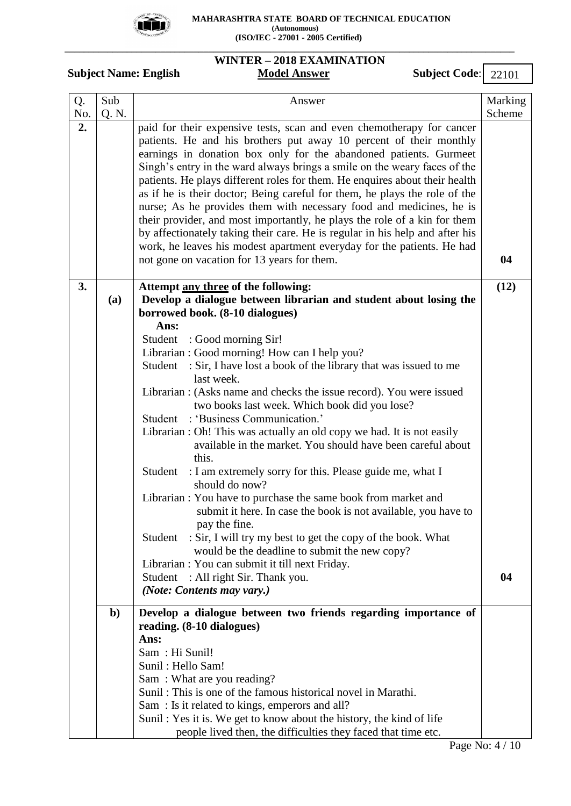

 **MAHARASHTRA STATE BOARD OF TECHNICAL EDUCATION EXAMPLE 1999 (Autonomous) (ISO/IEC - 27001 - 2005 Certified)**

**\_\_\_\_\_\_\_\_\_\_\_\_\_\_\_\_\_\_\_\_\_\_\_\_\_\_\_\_\_\_\_\_\_\_\_\_\_\_\_\_\_\_\_\_\_\_\_\_\_\_\_\_\_\_\_\_\_\_\_\_\_\_\_\_\_\_\_\_\_\_\_\_\_\_\_\_\_\_\_\_\_\_\_\_\_\_\_\_\_\_\_\_\_\_ WINTER – 2018 EXAMINATION**

Subject Name: English Model Answer Subject Code: 22101

| Q.  | Sub   | Answer                                                                                                                                                                                                                                                                                                                                                                                                                                                                                                                                                                                                                                                                                                                                                                                                                                                                                                                                                                                                                                                                                                                                               | Marking    |
|-----|-------|------------------------------------------------------------------------------------------------------------------------------------------------------------------------------------------------------------------------------------------------------------------------------------------------------------------------------------------------------------------------------------------------------------------------------------------------------------------------------------------------------------------------------------------------------------------------------------------------------------------------------------------------------------------------------------------------------------------------------------------------------------------------------------------------------------------------------------------------------------------------------------------------------------------------------------------------------------------------------------------------------------------------------------------------------------------------------------------------------------------------------------------------------|------------|
| No. | Q. N. |                                                                                                                                                                                                                                                                                                                                                                                                                                                                                                                                                                                                                                                                                                                                                                                                                                                                                                                                                                                                                                                                                                                                                      | Scheme     |
| 2.  |       | paid for their expensive tests, scan and even chemotherapy for cancer<br>patients. He and his brothers put away 10 percent of their monthly<br>earnings in donation box only for the abandoned patients. Gurmeet<br>Singh's entry in the ward always brings a smile on the weary faces of the<br>patients. He plays different roles for them. He enquires about their health<br>as if he is their doctor; Being careful for them, he plays the role of the<br>nurse; As he provides them with necessary food and medicines, he is<br>their provider, and most importantly, he plays the role of a kin for them<br>by affectionately taking their care. He is regular in his help and after his<br>work, he leaves his modest apartment everyday for the patients. He had<br>not gone on vacation for 13 years for them.                                                                                                                                                                                                                                                                                                                              | 04         |
|     |       |                                                                                                                                                                                                                                                                                                                                                                                                                                                                                                                                                                                                                                                                                                                                                                                                                                                                                                                                                                                                                                                                                                                                                      |            |
| 3.  | (a)   | Attempt any three of the following:<br>Develop a dialogue between librarian and student about losing the<br>borrowed book. (8-10 dialogues)<br>Ans:<br>Student : Good morning Sir!<br>Librarian : Good morning! How can I help you?<br>: Sir, I have lost a book of the library that was issued to me<br>Student<br>last week.<br>Librarian : (Asks name and checks the issue record). You were issued<br>two books last week. Which book did you lose?<br>: 'Business Communication.'<br>Student<br>Librarian : Oh! This was actually an old copy we had. It is not easily<br>available in the market. You should have been careful about<br>this.<br>: I am extremely sorry for this. Please guide me, what I<br>Student<br>should do now?<br>Librarian : You have to purchase the same book from market and<br>submit it here. In case the book is not available, you have to<br>pay the fine.<br>: Sir, I will try my best to get the copy of the book. What<br>Student<br>would be the deadline to submit the new copy?<br>Librarian : You can submit it till next Friday.<br>Student : All right Sir. Thank you.<br>(Note: Contents may vary.) | (12)<br>04 |
|     | $b$   | Develop a dialogue between two friends regarding importance of<br>reading. (8-10 dialogues)<br>Ans:<br>Sam: Hi Sunil!<br>Sunil: Hello Sam!<br>Sam: What are you reading?<br>Sunil: This is one of the famous historical novel in Marathi.<br>Sam: Is it related to kings, emperors and all?<br>Sunil: Yes it is. We get to know about the history, the kind of life<br>people lived then, the difficulties they faced that time etc.                                                                                                                                                                                                                                                                                                                                                                                                                                                                                                                                                                                                                                                                                                                 |            |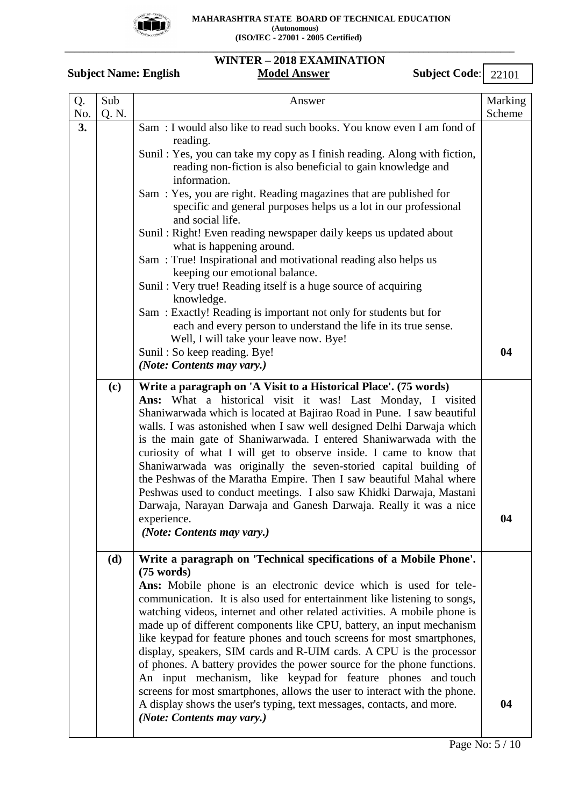

 **MAHARASHTRA STATE BOARD OF TECHNICAL EDUCATION (Autonomous) (ISO/IEC - 27001 - 2005 Certified)**

**\_\_\_\_\_\_\_\_\_\_\_\_\_\_\_\_\_\_\_\_\_\_\_\_\_\_\_\_\_\_\_\_\_\_\_\_\_\_\_\_\_\_\_\_\_\_\_\_\_\_\_\_\_\_\_\_\_\_\_\_\_\_\_\_\_\_\_\_\_\_\_\_\_\_\_\_\_\_\_\_\_\_\_\_\_\_\_\_\_\_\_\_\_\_**

# Subject Name: English Model Answer Subject Code:

# **WINTER – 2018 EXAMINATION**

22101

| Q.  | Sub                                                                                               | Answer                                                                                                                                   | Marking |  |  |
|-----|---------------------------------------------------------------------------------------------------|------------------------------------------------------------------------------------------------------------------------------------------|---------|--|--|
| No. | Q. N.                                                                                             |                                                                                                                                          | Scheme  |  |  |
| 3.  |                                                                                                   | Sam: I would also like to read such books. You know even I am fond of                                                                    |         |  |  |
|     |                                                                                                   | reading.                                                                                                                                 |         |  |  |
|     |                                                                                                   | Sunil: Yes, you can take my copy as I finish reading. Along with fiction,                                                                |         |  |  |
|     |                                                                                                   | reading non-fiction is also beneficial to gain knowledge and<br>information.                                                             |         |  |  |
|     |                                                                                                   | Sam: Yes, you are right. Reading magazines that are published for                                                                        |         |  |  |
|     |                                                                                                   | specific and general purposes helps us a lot in our professional                                                                         |         |  |  |
|     |                                                                                                   | and social life.                                                                                                                         |         |  |  |
|     |                                                                                                   | Sunil: Right! Even reading newspaper daily keeps us updated about<br>what is happening around.                                           |         |  |  |
|     |                                                                                                   | Sam: True! Inspirational and motivational reading also helps us                                                                          |         |  |  |
|     |                                                                                                   | keeping our emotional balance.                                                                                                           |         |  |  |
|     |                                                                                                   | Sunil: Very true! Reading itself is a huge source of acquiring<br>knowledge.                                                             |         |  |  |
|     |                                                                                                   | Sam: Exactly! Reading is important not only for students but for                                                                         |         |  |  |
|     |                                                                                                   | each and every person to understand the life in its true sense.                                                                          |         |  |  |
|     |                                                                                                   | Well, I will take your leave now. Bye!                                                                                                   |         |  |  |
|     |                                                                                                   | Sunil: So keep reading. Bye!                                                                                                             | 04      |  |  |
|     |                                                                                                   | (Note: Contents may vary.)                                                                                                               |         |  |  |
|     | (c)                                                                                               | Write a paragraph on 'A Visit to a Historical Place'. (75 words)                                                                         |         |  |  |
|     | Ans: What a historical visit it was! Last Monday, I visited                                       |                                                                                                                                          |         |  |  |
|     |                                                                                                   | Shaniwarwada which is located at Bajirao Road in Pune. I saw beautiful                                                                   |         |  |  |
|     |                                                                                                   | walls. I was astonished when I saw well designed Delhi Darwaja which                                                                     |         |  |  |
|     |                                                                                                   | is the main gate of Shaniwarwada. I entered Shaniwarwada with the                                                                        |         |  |  |
|     |                                                                                                   | curiosity of what I will get to observe inside. I came to know that                                                                      |         |  |  |
|     |                                                                                                   | Shaniwarwada was originally the seven-storied capital building of<br>the Peshwas of the Maratha Empire. Then I saw beautiful Mahal where |         |  |  |
|     |                                                                                                   | Peshwas used to conduct meetings. I also saw Khidki Darwaja, Mastani                                                                     |         |  |  |
|     |                                                                                                   | Darwaja, Narayan Darwaja and Ganesh Darwaja. Really it was a nice                                                                        |         |  |  |
|     |                                                                                                   | experience.                                                                                                                              | 04      |  |  |
|     |                                                                                                   | (Note: Contents may vary.)                                                                                                               |         |  |  |
|     |                                                                                                   |                                                                                                                                          |         |  |  |
|     | Write a paragraph on 'Technical specifications of a Mobile Phone'.<br>(d)<br>$(75 \text{ words})$ |                                                                                                                                          |         |  |  |
|     |                                                                                                   | Ans: Mobile phone is an electronic device which is used for tele-                                                                        |         |  |  |
|     |                                                                                                   | communication. It is also used for entertainment like listening to songs,                                                                |         |  |  |
|     |                                                                                                   | watching videos, internet and other related activities. A mobile phone is                                                                |         |  |  |
|     |                                                                                                   | made up of different components like CPU, battery, an input mechanism                                                                    |         |  |  |
|     |                                                                                                   | like keypad for feature phones and touch screens for most smartphones,                                                                   |         |  |  |
|     |                                                                                                   | display, speakers, SIM cards and R-UIM cards. A CPU is the processor                                                                     |         |  |  |
|     |                                                                                                   | of phones. A battery provides the power source for the phone functions.                                                                  |         |  |  |
|     |                                                                                                   | An input mechanism, like keypad-for feature phones and touch                                                                             |         |  |  |
|     |                                                                                                   | screens for most smartphones, allows the user to interact with the phone.                                                                |         |  |  |
|     |                                                                                                   | A display shows the user's typing, text messages, contacts, and more.<br>(Note: Contents may vary.)                                      | 04      |  |  |
|     |                                                                                                   |                                                                                                                                          |         |  |  |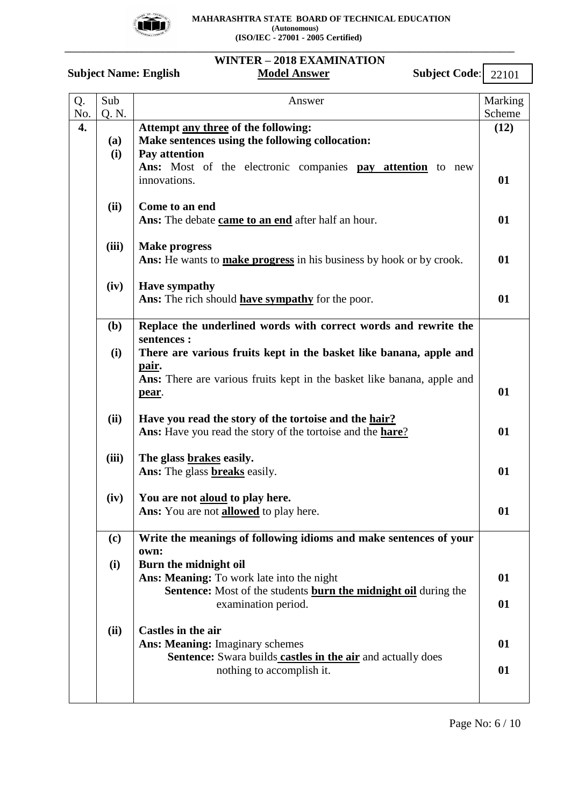

**\_\_\_\_\_\_\_\_\_\_\_\_\_\_\_\_\_\_\_\_\_\_\_\_\_\_\_\_\_\_\_\_\_\_\_\_\_\_\_\_\_\_\_\_\_\_\_\_\_\_\_\_\_\_\_\_\_\_\_\_\_\_\_\_\_\_\_\_\_\_\_\_\_\_\_\_\_\_\_\_\_\_\_\_\_\_\_\_\_\_\_\_\_\_**

# **WINTER – 2018 EXAMINATION**

**Subject Name: English** 

Subject Code:  $\boxed{22101}$ 

| Q.        | Sub                                                                                      | Answer                                                                                                              | Marking<br>Scheme |  |  |  |
|-----------|------------------------------------------------------------------------------------------|---------------------------------------------------------------------------------------------------------------------|-------------------|--|--|--|
| No.<br>4. | Q. N.                                                                                    | Attempt any three of the following:                                                                                 | (12)              |  |  |  |
|           | (a)                                                                                      | Make sentences using the following collocation:                                                                     |                   |  |  |  |
|           | (i)                                                                                      | Pay attention                                                                                                       |                   |  |  |  |
|           | Ans: Most of the electronic companies pay attention to new                               |                                                                                                                     |                   |  |  |  |
|           |                                                                                          | innovations.                                                                                                        | 01                |  |  |  |
|           | (ii)                                                                                     | Come to an end                                                                                                      |                   |  |  |  |
|           |                                                                                          | Ans: The debate came to an end after half an hour.                                                                  | 01                |  |  |  |
|           | (iii)                                                                                    | <b>Make progress</b>                                                                                                |                   |  |  |  |
|           |                                                                                          | Ans: He wants to make progress in his business by hook or by crook.                                                 | 01                |  |  |  |
|           | (iv)                                                                                     | <b>Have sympathy</b>                                                                                                |                   |  |  |  |
|           |                                                                                          | Ans: The rich should have sympathy for the poor.                                                                    | 01                |  |  |  |
|           | (b)<br>Replace the underlined words with correct words and rewrite the                   |                                                                                                                     |                   |  |  |  |
|           | sentences :                                                                              |                                                                                                                     |                   |  |  |  |
|           | (i)                                                                                      | There are various fruits kept in the basket like banana, apple and<br><u>pair</u> .                                 |                   |  |  |  |
|           |                                                                                          | Ans: There are various fruits kept in the basket like banana, apple and                                             |                   |  |  |  |
|           |                                                                                          | pear.                                                                                                               | 01                |  |  |  |
|           |                                                                                          |                                                                                                                     |                   |  |  |  |
|           | (ii)                                                                                     | Have you read the story of the tortoise and the hair?                                                               | 01                |  |  |  |
|           | Ans: Have you read the story of the tortoise and the hare?                               |                                                                                                                     |                   |  |  |  |
|           | (iii)<br>The glass brakes easily.                                                        |                                                                                                                     |                   |  |  |  |
|           | Ans: The glass <b>breaks</b> easily.                                                     |                                                                                                                     |                   |  |  |  |
|           | You are not aloud to play here.<br>(iv)<br>Ans: You are not <b>allowed</b> to play here. |                                                                                                                     |                   |  |  |  |
|           |                                                                                          |                                                                                                                     | 01                |  |  |  |
|           | Write the meanings of following idioms and make sentences of your<br>(c)                 |                                                                                                                     |                   |  |  |  |
|           |                                                                                          | own:                                                                                                                |                   |  |  |  |
|           | (i)                                                                                      | Burn the midnight oil                                                                                               | 01                |  |  |  |
|           |                                                                                          | Ans: Meaning: To work late into the night<br>Sentence: Most of the students <b>burn the midnight oil</b> during the |                   |  |  |  |
|           |                                                                                          | examination period.                                                                                                 | 01                |  |  |  |
|           | (ii)                                                                                     | Castles in the air                                                                                                  |                   |  |  |  |
|           |                                                                                          | <b>Ans: Meaning: Imaginary schemes</b>                                                                              | 01                |  |  |  |
|           |                                                                                          | Sentence: Swara builds castles in the air and actually does                                                         |                   |  |  |  |
|           |                                                                                          | nothing to accomplish it.                                                                                           | 01                |  |  |  |
|           |                                                                                          |                                                                                                                     |                   |  |  |  |
|           |                                                                                          |                                                                                                                     |                   |  |  |  |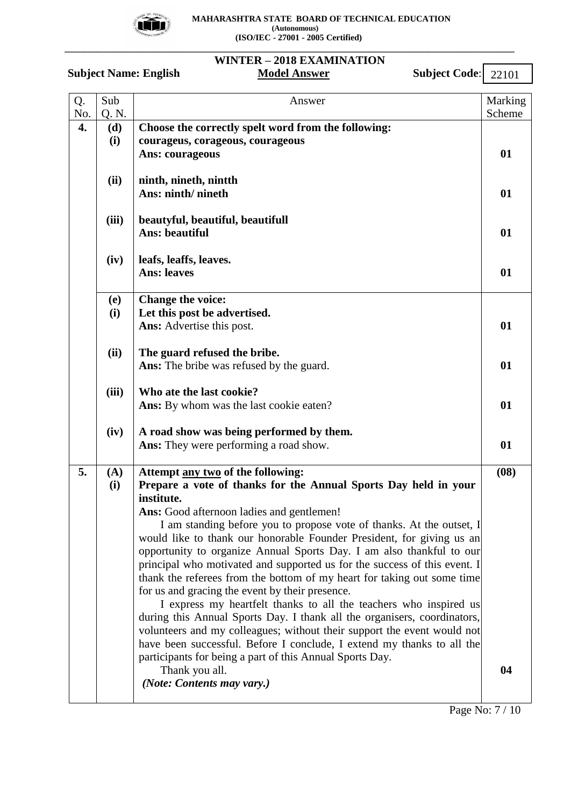

## **\_\_\_\_\_\_\_\_\_\_\_\_\_\_\_\_\_\_\_\_\_\_\_\_\_\_\_\_\_\_\_\_\_\_\_\_\_\_\_\_\_\_\_\_\_\_\_\_\_\_\_\_\_\_\_\_\_\_\_\_\_\_\_\_\_\_\_\_\_\_\_\_\_\_\_\_\_\_\_\_\_\_\_\_\_\_\_\_\_\_\_\_\_\_ WINTER – 2018 EXAMINATION**

# **Subject Name: English Model Answer Subject Code:**

22101

| Q.  | Sub        | Answer                                                                                                                                            | Marking |  |  |  |  |
|-----|------------|---------------------------------------------------------------------------------------------------------------------------------------------------|---------|--|--|--|--|
| No. | Q. N.      |                                                                                                                                                   | Scheme  |  |  |  |  |
| 4.  | (d)        | Choose the correctly spelt word from the following:                                                                                               |         |  |  |  |  |
|     | (i)        | courageus, corageous, courageous                                                                                                                  |         |  |  |  |  |
|     |            | Ans: courageous                                                                                                                                   | 01      |  |  |  |  |
|     |            |                                                                                                                                                   |         |  |  |  |  |
|     | (ii)       | ninth, nineth, nintth                                                                                                                             | 01      |  |  |  |  |
|     |            | Ans: ninth/ nineth                                                                                                                                |         |  |  |  |  |
|     | (iii)      |                                                                                                                                                   |         |  |  |  |  |
|     |            | beautyful, beautiful, beautifull<br><b>Ans: beautiful</b>                                                                                         |         |  |  |  |  |
|     |            |                                                                                                                                                   | 01      |  |  |  |  |
|     | (iv)       | leafs, leaffs, leaves.                                                                                                                            |         |  |  |  |  |
|     |            | <b>Ans: leaves</b>                                                                                                                                | 01      |  |  |  |  |
|     |            |                                                                                                                                                   |         |  |  |  |  |
|     | (e)        | Change the voice:                                                                                                                                 |         |  |  |  |  |
|     | (i)        | Let this post be advertised.                                                                                                                      |         |  |  |  |  |
|     |            | <b>Ans:</b> Advertise this post.                                                                                                                  | 01      |  |  |  |  |
|     | (ii)       | The guard refused the bribe.                                                                                                                      |         |  |  |  |  |
|     |            | <b>Ans:</b> The bribe was refused by the guard.                                                                                                   | 01      |  |  |  |  |
|     |            |                                                                                                                                                   |         |  |  |  |  |
|     | (iii)      | Who ate the last cookie?                                                                                                                          |         |  |  |  |  |
|     |            | Ans: By whom was the last cookie eaten?                                                                                                           | 01      |  |  |  |  |
|     |            |                                                                                                                                                   |         |  |  |  |  |
|     | (iv)       | A road show was being performed by them.                                                                                                          |         |  |  |  |  |
|     |            | <b>Ans:</b> They were performing a road show.                                                                                                     | 01      |  |  |  |  |
| 5.  |            |                                                                                                                                                   |         |  |  |  |  |
|     | (A)<br>(i) | Attempt any two of the following:<br>Prepare a vote of thanks for the Annual Sports Day held in your                                              | (08)    |  |  |  |  |
|     |            | institute.                                                                                                                                        |         |  |  |  |  |
|     |            | <b>Ans:</b> Good afternoon ladies and gentlemen!                                                                                                  |         |  |  |  |  |
|     |            | I am standing before you to propose vote of thanks. At the outset, I                                                                              |         |  |  |  |  |
|     |            | would like to thank our honorable Founder President, for giving us an                                                                             |         |  |  |  |  |
|     |            | opportunity to organize Annual Sports Day. I am also thankful to our                                                                              |         |  |  |  |  |
|     |            | principal who motivated and supported us for the success of this event. I                                                                         |         |  |  |  |  |
|     |            | thank the referees from the bottom of my heart for taking out some time                                                                           |         |  |  |  |  |
|     |            | for us and gracing the event by their presence.                                                                                                   |         |  |  |  |  |
|     |            | I express my heartfelt thanks to all the teachers who inspired us                                                                                 |         |  |  |  |  |
|     |            | during this Annual Sports Day. I thank all the organisers, coordinators,                                                                          |         |  |  |  |  |
|     |            | volunteers and my colleagues; without their support the event would not<br>have been successful. Before I conclude, I extend my thanks to all the |         |  |  |  |  |
|     |            | participants for being a part of this Annual Sports Day.                                                                                          |         |  |  |  |  |
|     |            | Thank you all.                                                                                                                                    | 04      |  |  |  |  |
|     |            | (Note: Contents may vary.)                                                                                                                        |         |  |  |  |  |
|     |            |                                                                                                                                                   |         |  |  |  |  |

Page No: 7 / 10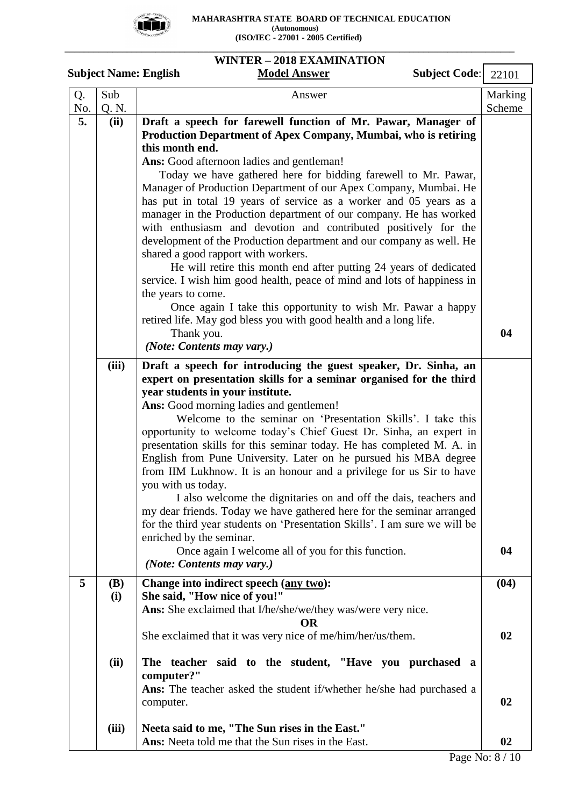

 **MAHARASHTRA STATE BOARD OF TECHNICAL EDUCATION EXAMPLE 1999 (Autonomous) (ISO/IEC - 27001 - 2005 Certified)**

### **WINTER – 2018 EXAMINATION**

**\_\_\_\_\_\_\_\_\_\_\_\_\_\_\_\_\_\_\_\_\_\_\_\_\_\_\_\_\_\_\_\_\_\_\_\_\_\_\_\_\_\_\_\_\_\_\_\_\_\_\_\_\_\_\_\_\_\_\_\_\_\_\_\_\_\_\_\_\_\_\_\_\_\_\_\_\_\_\_\_\_\_\_\_\_\_\_\_\_\_\_\_\_\_**

|           |                   | WHATER – 2010 EXAMINATION<br>Subject Code:<br><b>Subject Name: English</b><br><b>Model Answer</b>                                                                                                                                                                                                                                                                                                                                                                                                                                                                                                                                                                                                                                                                                                                                                                                                                                                                                                                          | 22101             |
|-----------|-------------------|----------------------------------------------------------------------------------------------------------------------------------------------------------------------------------------------------------------------------------------------------------------------------------------------------------------------------------------------------------------------------------------------------------------------------------------------------------------------------------------------------------------------------------------------------------------------------------------------------------------------------------------------------------------------------------------------------------------------------------------------------------------------------------------------------------------------------------------------------------------------------------------------------------------------------------------------------------------------------------------------------------------------------|-------------------|
| Q.<br>No. | Sub<br>Q. N.      | Answer                                                                                                                                                                                                                                                                                                                                                                                                                                                                                                                                                                                                                                                                                                                                                                                                                                                                                                                                                                                                                     | Marking<br>Scheme |
| 5.        | (ii)              | Draft a speech for farewell function of Mr. Pawar, Manager of<br>Production Department of Apex Company, Mumbai, who is retiring<br>this month end.<br>Ans: Good afternoon ladies and gentleman!<br>Today we have gathered here for bidding farewell to Mr. Pawar,<br>Manager of Production Department of our Apex Company, Mumbai. He<br>has put in total 19 years of service as a worker and 05 years as a<br>manager in the Production department of our company. He has worked<br>with enthusiasm and devotion and contributed positively for the<br>development of the Production department and our company as well. He<br>shared a good rapport with workers.<br>He will retire this month end after putting 24 years of dedicated<br>service. I wish him good health, peace of mind and lots of happiness in<br>the years to come.<br>Once again I take this opportunity to wish Mr. Pawar a happy<br>retired life. May god bless you with good health and a long life.<br>Thank you.<br>(Note: Contents may vary.) | 04                |
|           | (iii)             | Draft a speech for introducing the guest speaker, Dr. Sinha, an<br>expert on presentation skills for a seminar organised for the third<br>year students in your institute.<br><b>Ans:</b> Good morning ladies and gentlemen!<br>Welcome to the seminar on 'Presentation Skills'. I take this<br>opportunity to welcome today's Chief Guest Dr. Sinha, an expert in<br>presentation skills for this seminar today. He has completed M. A. in<br>English from Pune University. Later on he pursued his MBA degree<br>from IIM Lukhnow. It is an honour and a privilege for us Sir to have<br>you with us today.<br>I also welcome the dignitaries on and off the dais, teachers and<br>my dear friends. Today we have gathered here for the seminar arranged<br>for the third year students on 'Presentation Skills'. I am sure we will be<br>enriched by the seminar.<br>Once again I welcome all of you for this function.<br>(Note: Contents may vary.)                                                                   | 04                |
| 5         | <b>(B)</b><br>(i) | Change into indirect speech (any two):<br>She said, "How nice of you!"<br>Ans: She exclaimed that I/he/she/we/they was/were very nice.<br><b>OR</b>                                                                                                                                                                                                                                                                                                                                                                                                                                                                                                                                                                                                                                                                                                                                                                                                                                                                        | (04)              |
|           | (ii)              | She exclaimed that it was very nice of me/him/her/us/them.<br>The teacher said to the student, "Have you purchased a                                                                                                                                                                                                                                                                                                                                                                                                                                                                                                                                                                                                                                                                                                                                                                                                                                                                                                       | 02                |
|           |                   | computer?"<br><b>Ans:</b> The teacher asked the student if/whether he/she had purchased a<br>computer.                                                                                                                                                                                                                                                                                                                                                                                                                                                                                                                                                                                                                                                                                                                                                                                                                                                                                                                     | 02                |
|           | (iii)             | Neeta said to me, "The Sun rises in the East."<br>Ans: Neeta told me that the Sun rises in the East.                                                                                                                                                                                                                                                                                                                                                                                                                                                                                                                                                                                                                                                                                                                                                                                                                                                                                                                       | 02                |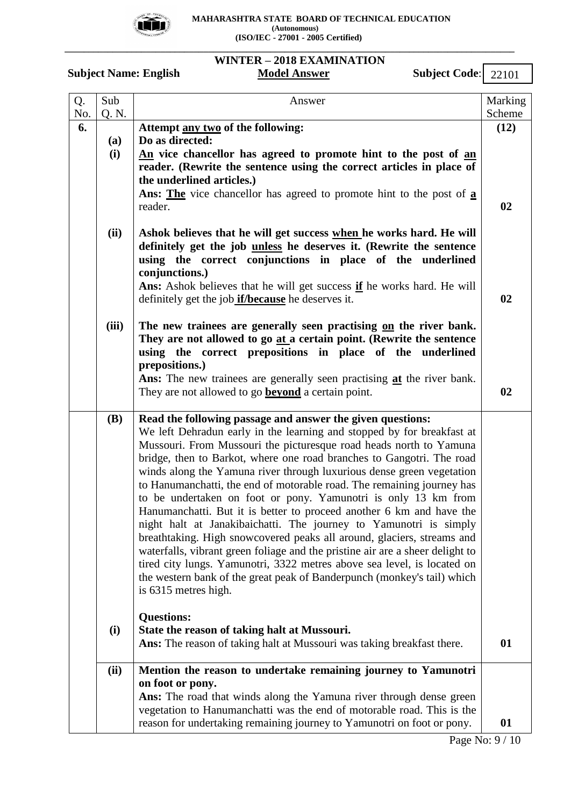

## **\_\_\_\_\_\_\_\_\_\_\_\_\_\_\_\_\_\_\_\_\_\_\_\_\_\_\_\_\_\_\_\_\_\_\_\_\_\_\_\_\_\_\_\_\_\_\_\_\_\_\_\_\_\_\_\_\_\_\_\_\_\_\_\_\_\_\_\_\_\_\_\_\_\_\_\_\_\_\_\_\_\_\_\_\_\_\_\_\_\_\_\_\_\_ WINTER – 2018 EXAMINATION**

# Subject Name: English Model Answer Subject Code:

22101

| Q.  | Sub                                                                    | Answer                                                                                                                                                                                                                                                                                                                                                                                                                                                                                                                                                                                                                                                                                                                                                                                                                                                                                                                                                                                         | Marking |  |  |  |  |
|-----|------------------------------------------------------------------------|------------------------------------------------------------------------------------------------------------------------------------------------------------------------------------------------------------------------------------------------------------------------------------------------------------------------------------------------------------------------------------------------------------------------------------------------------------------------------------------------------------------------------------------------------------------------------------------------------------------------------------------------------------------------------------------------------------------------------------------------------------------------------------------------------------------------------------------------------------------------------------------------------------------------------------------------------------------------------------------------|---------|--|--|--|--|
| No. | Q. N.                                                                  |                                                                                                                                                                                                                                                                                                                                                                                                                                                                                                                                                                                                                                                                                                                                                                                                                                                                                                                                                                                                | Scheme  |  |  |  |  |
| 6.  |                                                                        | Attempt any two of the following:                                                                                                                                                                                                                                                                                                                                                                                                                                                                                                                                                                                                                                                                                                                                                                                                                                                                                                                                                              | (12)    |  |  |  |  |
|     | Do as directed:<br>(a)                                                 |                                                                                                                                                                                                                                                                                                                                                                                                                                                                                                                                                                                                                                                                                                                                                                                                                                                                                                                                                                                                |         |  |  |  |  |
|     | (i)                                                                    | An vice chancellor has agreed to promote hint to the post of an<br>reader. (Rewrite the sentence using the correct articles in place of                                                                                                                                                                                                                                                                                                                                                                                                                                                                                                                                                                                                                                                                                                                                                                                                                                                        |         |  |  |  |  |
|     |                                                                        | the underlined articles.)                                                                                                                                                                                                                                                                                                                                                                                                                                                                                                                                                                                                                                                                                                                                                                                                                                                                                                                                                                      |         |  |  |  |  |
|     | Ans: The vice chancellor has agreed to promote hint to the post of a   |                                                                                                                                                                                                                                                                                                                                                                                                                                                                                                                                                                                                                                                                                                                                                                                                                                                                                                                                                                                                |         |  |  |  |  |
|     |                                                                        | reader.                                                                                                                                                                                                                                                                                                                                                                                                                                                                                                                                                                                                                                                                                                                                                                                                                                                                                                                                                                                        | 02      |  |  |  |  |
|     | (ii)                                                                   | Ashok believes that he will get success when he works hard. He will<br>definitely get the job <i>unless</i> he deserves it. (Rewrite the sentence<br>using the correct conjunctions in place of the underlined<br>conjunctions.)<br>Ans: Ashok believes that he will get success if he works hard. He will<br>definitely get the job <i>if/because</i> he deserves it.                                                                                                                                                                                                                                                                                                                                                                                                                                                                                                                                                                                                                         | 02      |  |  |  |  |
|     |                                                                        |                                                                                                                                                                                                                                                                                                                                                                                                                                                                                                                                                                                                                                                                                                                                                                                                                                                                                                                                                                                                |         |  |  |  |  |
|     | (iii)                                                                  | The new trainees are generally seen practising on the river bank.<br>They are not allowed to go at a certain point. (Rewrite the sentence<br>using the correct prepositions in place of the underlined<br>prepositions.)                                                                                                                                                                                                                                                                                                                                                                                                                                                                                                                                                                                                                                                                                                                                                                       |         |  |  |  |  |
|     |                                                                        | Ans: The new trainees are generally seen practising at the river bank.                                                                                                                                                                                                                                                                                                                                                                                                                                                                                                                                                                                                                                                                                                                                                                                                                                                                                                                         |         |  |  |  |  |
|     |                                                                        | They are not allowed to go <b>beyond</b> a certain point.                                                                                                                                                                                                                                                                                                                                                                                                                                                                                                                                                                                                                                                                                                                                                                                                                                                                                                                                      | 02      |  |  |  |  |
|     |                                                                        |                                                                                                                                                                                                                                                                                                                                                                                                                                                                                                                                                                                                                                                                                                                                                                                                                                                                                                                                                                                                |         |  |  |  |  |
|     | <b>(B)</b>                                                             | Read the following passage and answer the given questions:<br>We left Dehradun early in the learning and stopped by for breakfast at<br>Mussouri. From Mussouri the picturesque road heads north to Yamuna<br>bridge, then to Barkot, where one road branches to Gangotri. The road<br>winds along the Yamuna river through luxurious dense green vegetation<br>to Hanumanchatti, the end of motorable road. The remaining journey has<br>to be undertaken on foot or pony. Yamunotri is only 13 km from<br>Hanumanchatti. But it is better to proceed another 6 km and have the<br>night halt at Janakibaichatti. The journey to Yamunotri is simply<br>breathtaking. High snowcovered peaks all around, glaciers, streams and<br>waterfalls, vibrant green foliage and the pristine air are a sheer delight to<br>tired city lungs. Yamunotri, 3322 metres above sea level, is located on<br>the western bank of the great peak of Banderpunch (monkey's tail) which<br>is 6315 metres high. |         |  |  |  |  |
|     | (i)                                                                    | <b>Questions:</b><br>State the reason of taking halt at Mussouri.<br>Ans: The reason of taking halt at Mussouri was taking breakfast there.                                                                                                                                                                                                                                                                                                                                                                                                                                                                                                                                                                                                                                                                                                                                                                                                                                                    | 01      |  |  |  |  |
|     | (ii)<br>Mention the reason to undertake remaining journey to Yamunotri |                                                                                                                                                                                                                                                                                                                                                                                                                                                                                                                                                                                                                                                                                                                                                                                                                                                                                                                                                                                                |         |  |  |  |  |
|     |                                                                        | on foot or pony.                                                                                                                                                                                                                                                                                                                                                                                                                                                                                                                                                                                                                                                                                                                                                                                                                                                                                                                                                                               |         |  |  |  |  |
|     |                                                                        | Ans: The road that winds along the Yamuna river through dense green<br>vegetation to Hanumanchatti was the end of motorable road. This is the<br>reason for undertaking remaining journey to Yamunotri on foot or pony.                                                                                                                                                                                                                                                                                                                                                                                                                                                                                                                                                                                                                                                                                                                                                                        | 01      |  |  |  |  |